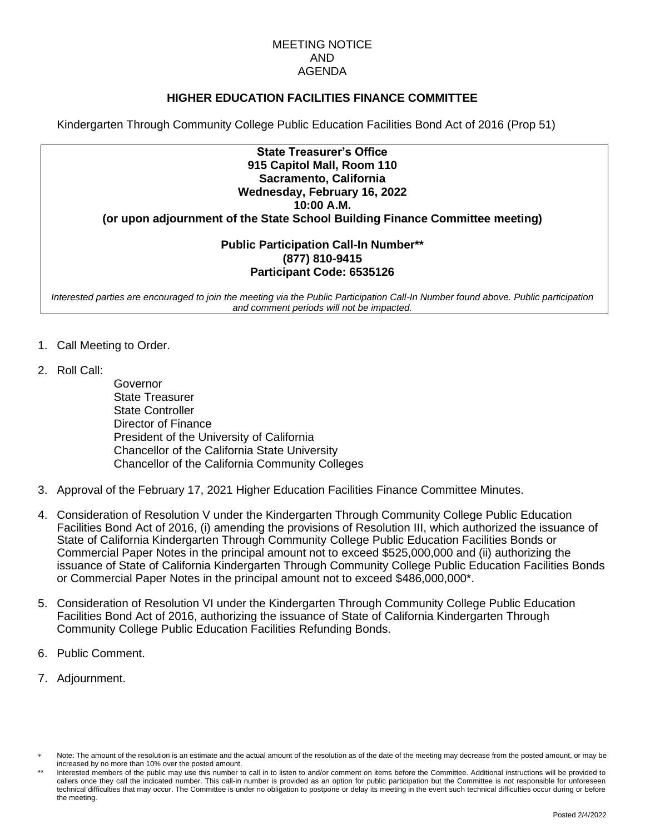#### MEETING NOTICE AND AGENDA

## **HIGHER EDUCATION FACILITIES FINANCE COMMITTEE**

Kindergarten Through Community College Public Education Facilities Bond Act of 2016 (Prop 51)

# **State Treasurer's Office 915 Capitol Mall, Room 110 Sacramento, California Wednesday, February 16, 2022 10:00 A.M. (or upon adjournment of the State School Building Finance Committee meeting)**

#### **Public Participation Call-In Number\*\* (877) 810-9415 Participant Code: 6535126**

*Interested parties are encouraged to join the meeting via the Public Participation Call-In Number found above. Public participation and comment periods will not be impacted.*

- 1. Call Meeting to Order.
- 2. Roll Call:

Governor State Treasurer State Controller Director of Finance President of the University of California Chancellor of the California State University Chancellor of the California Community Colleges

- 3. Approval of the February 17, 2021 Higher Education Facilities Finance Committee Minutes.
- 4. Consideration of Resolution V under the Kindergarten Through Community College Public Education Facilities Bond Act of 2016, (i) amending the provisions of Resolution III, which authorized the issuance of State of California Kindergarten Through Community College Public Education Facilities Bonds or Commercial Paper Notes in the principal amount not to exceed \$525,000,000 and (ii) authorizing the issuance of State of California Kindergarten Through Community College Public Education Facilities Bonds or Commercial Paper Notes in the principal amount not to exceed \$486,000,000\*.
- 5. Consideration of Resolution VI under the Kindergarten Through Community College Public Education Facilities Bond Act of 2016, authorizing the issuance of State of California Kindergarten Through Community College Public Education Facilities Refunding Bonds.
- 6. Public Comment.
- 7. Adjournment.

Note: The amount of the resolution is an estimate and the actual amount of the resolution as of the date of the meeting may decrease from the posted amount, or may be increased by no more than 10% over the posted amount.

Interested members of the public may use this number to call in to listen to and/or comment on items before the Committee. Additional instructions will be provided to callers once they call the indicated number. This call-in number is provided as an option for public participation but the Committee is not responsible for unforeseen technical difficulties that may occur. The Committee is under no obligation to postpone or delay its meeting in the event such technical difficulties occur during or before the meeting.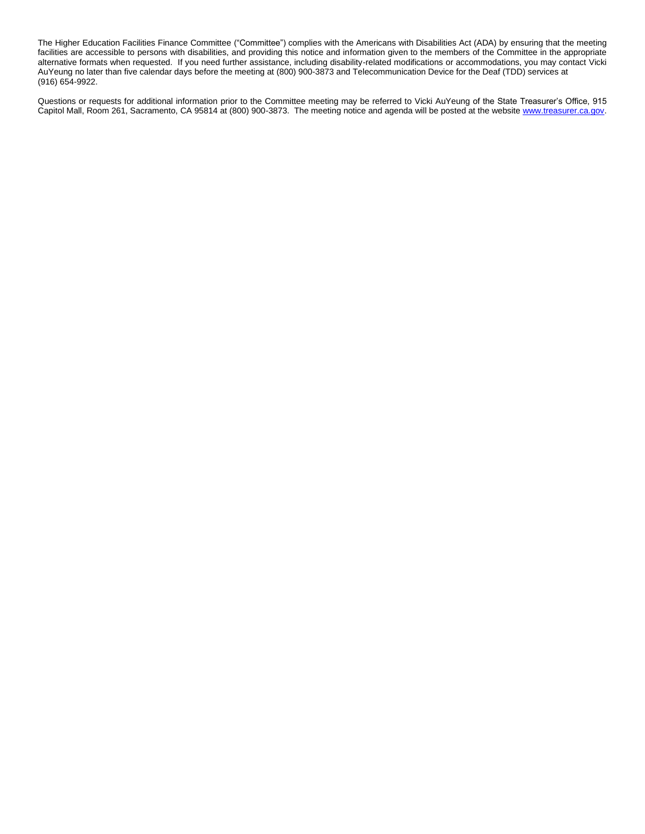The Higher Education Facilities Finance Committee ("Committee") complies with the Americans with Disabilities Act (ADA) by ensuring that the meeting facilities are accessible to persons with disabilities, and providing this notice and information given to the members of the Committee in the appropriate alternative formats when requested. If you need further assistance, including disability-related modifications or accommodations, you may contact Vicki AuYeung no later than five calendar days before the meeting at (800) 900-3873 and Telecommunication Device for the Deaf (TDD) services at (916) 654-9922.

Questions or requests for additional information prior to the Committee meeting may be referred to Vicki AuYeung of the State Treasurer's Office, 915 Capitol Mall, Room 261, Sacramento, CA 95814 at (800) 900-3873. The meeting notice and agenda will be posted at the websit[e www.treasurer.ca.gov.](http://www.treasurer.ca.gov/)